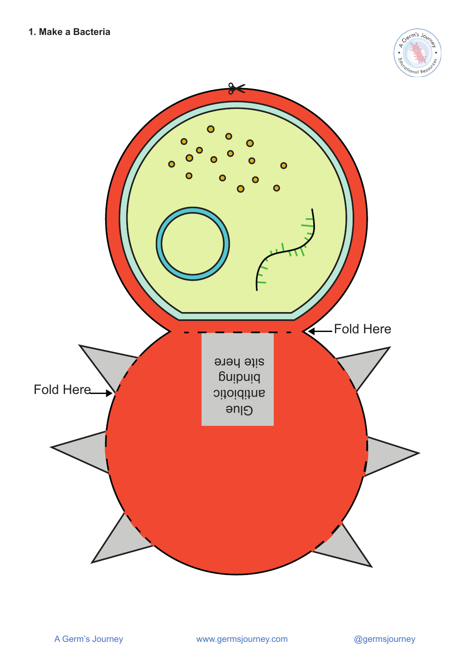

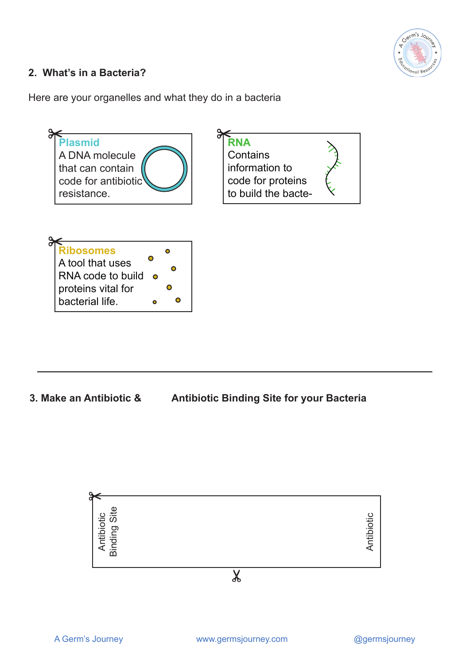

## **2. What's in a Bacteria?**

Here are your organelles and what they do in a bacteria



**3. Make an Antibiotic & Antibiotic Binding Site for your Bacteria**